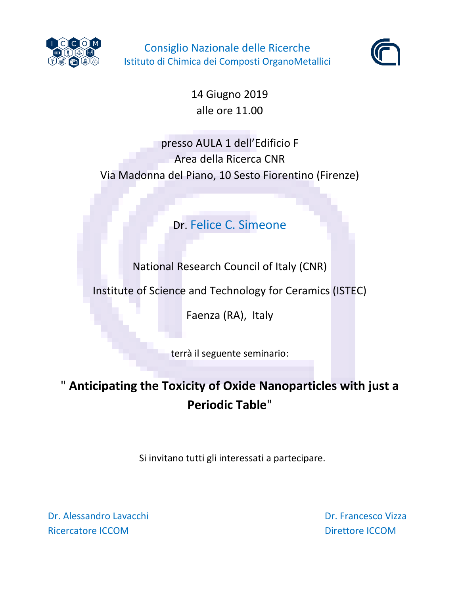

Consiglio Nazionale delle Ricerche Istituto di Chimica dei Composti OrganoMetallici



14 Giugno 2019 alle ore 11.00

presso AULA 1 dell'Edificio F Area della Ricerca CNR Via Madonna del Piano, 10 Sesto Fiorentino (Firenze)

Dr. Felice C. Simeone

National Research Council of Italy (CNR)

Institute of Science and Technology for Ceramics (ISTEC)

Faenza (RA), Italy

terrà il seguente seminario:

## " **Anticipating the Toxicity of Oxide Nanoparticles with just a Periodic Table**"

Si invitano tutti gli interessati a partecipare.

Dr. Alessandro Lavacchi Dr. Francesco Vizza Ricercatore ICCOM **Directore ICCOM Directore ICCOM**